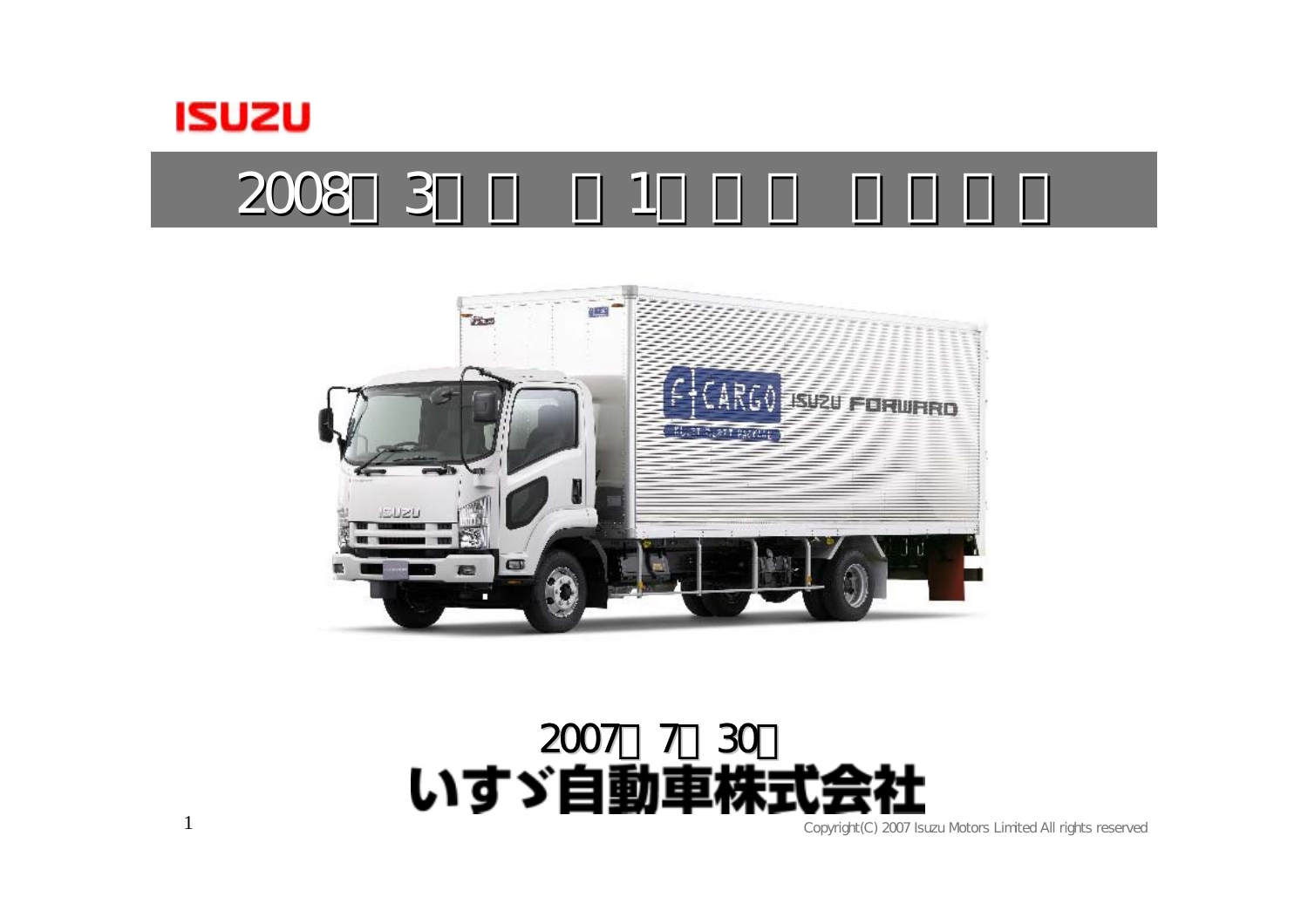

1

2008 3 1



#### 2007年7月30日 いすゞ自動車株

Copyright(C) 2007 Isuzu Motors Limited All rights reserved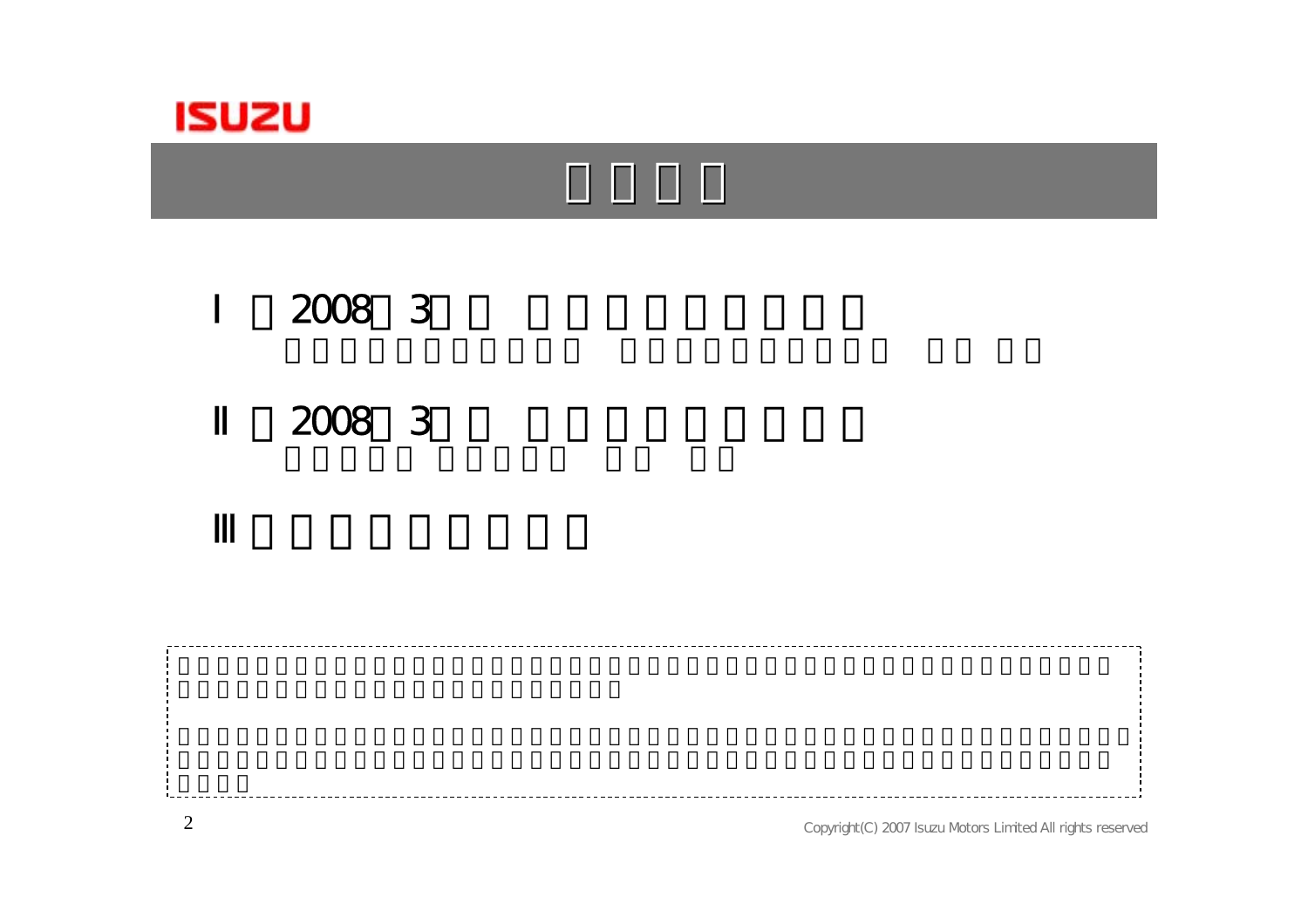

# Ⅰ.2008年3月期 第1四半期決算概要

#### Ⅱ.2008年3月期 第1四半期決算説明

Copyright(C) 2007 Isuzu Motors Limited All rights reserved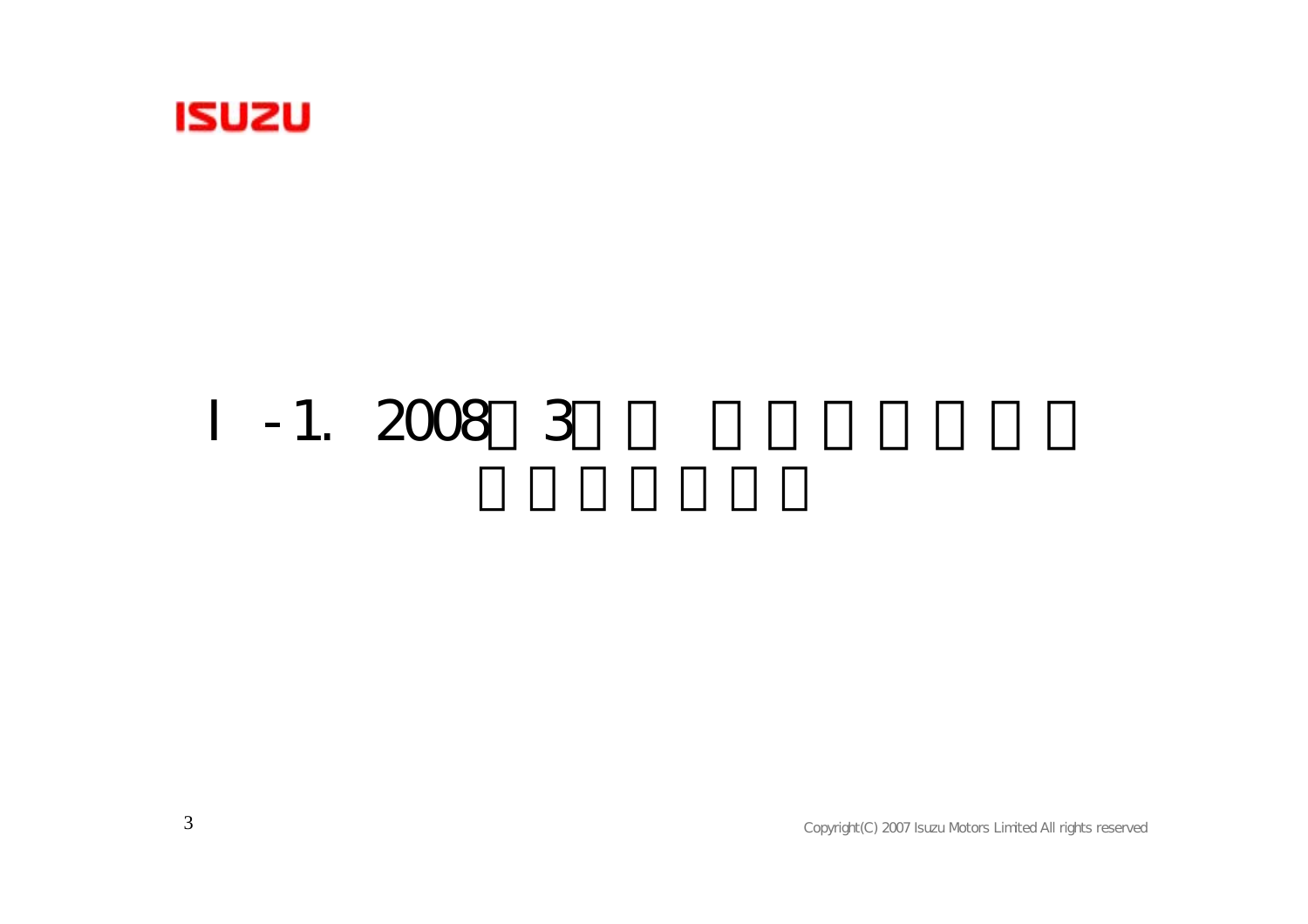

### $-1.$  2008 3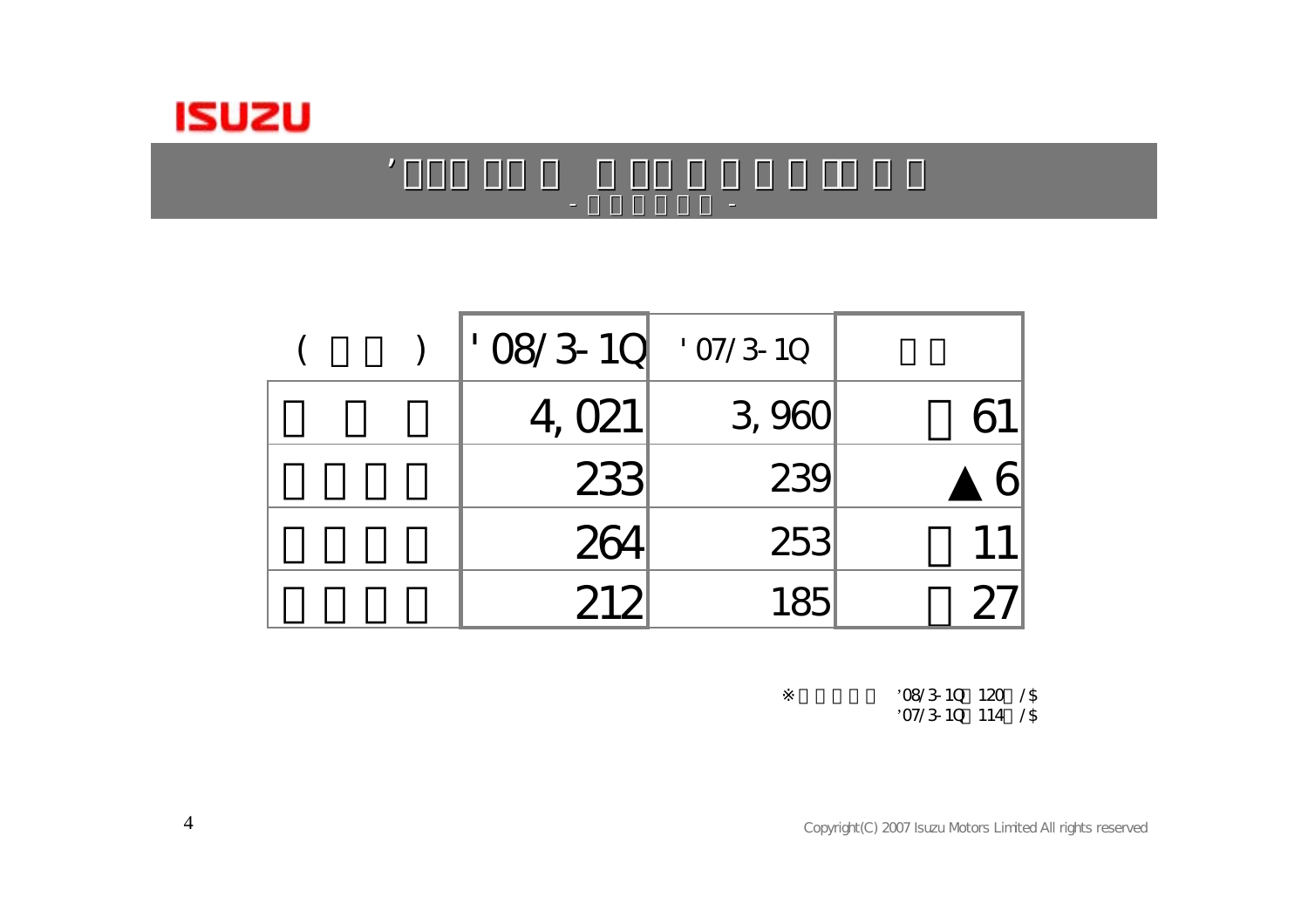

|  | $'$ 08/3-10 | $'$ 07/3-10 |  |
|--|-------------|-------------|--|
|  | 4, 021      | 3,960       |  |
|  | 233         | 239         |  |
|  | 264         | 253         |  |
|  | 212         |             |  |

 $0.87$  and  $0.87$  and  $0.87$  and  $0.87$  and  $0.87$  and  $0.87$ 

-

-

'08/3-1Q=120円/\$

'07/3-10 114 /\$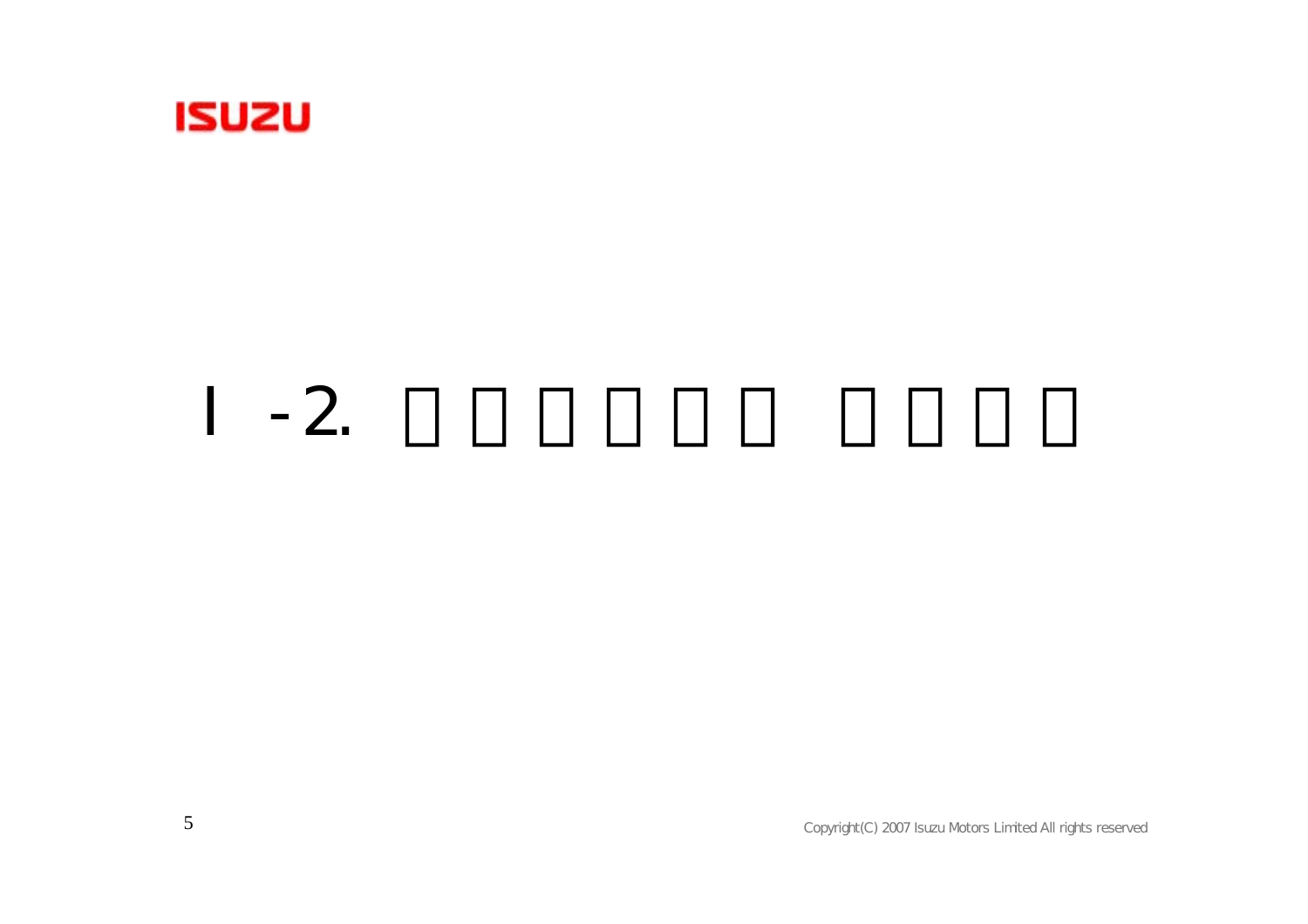

### $-2.$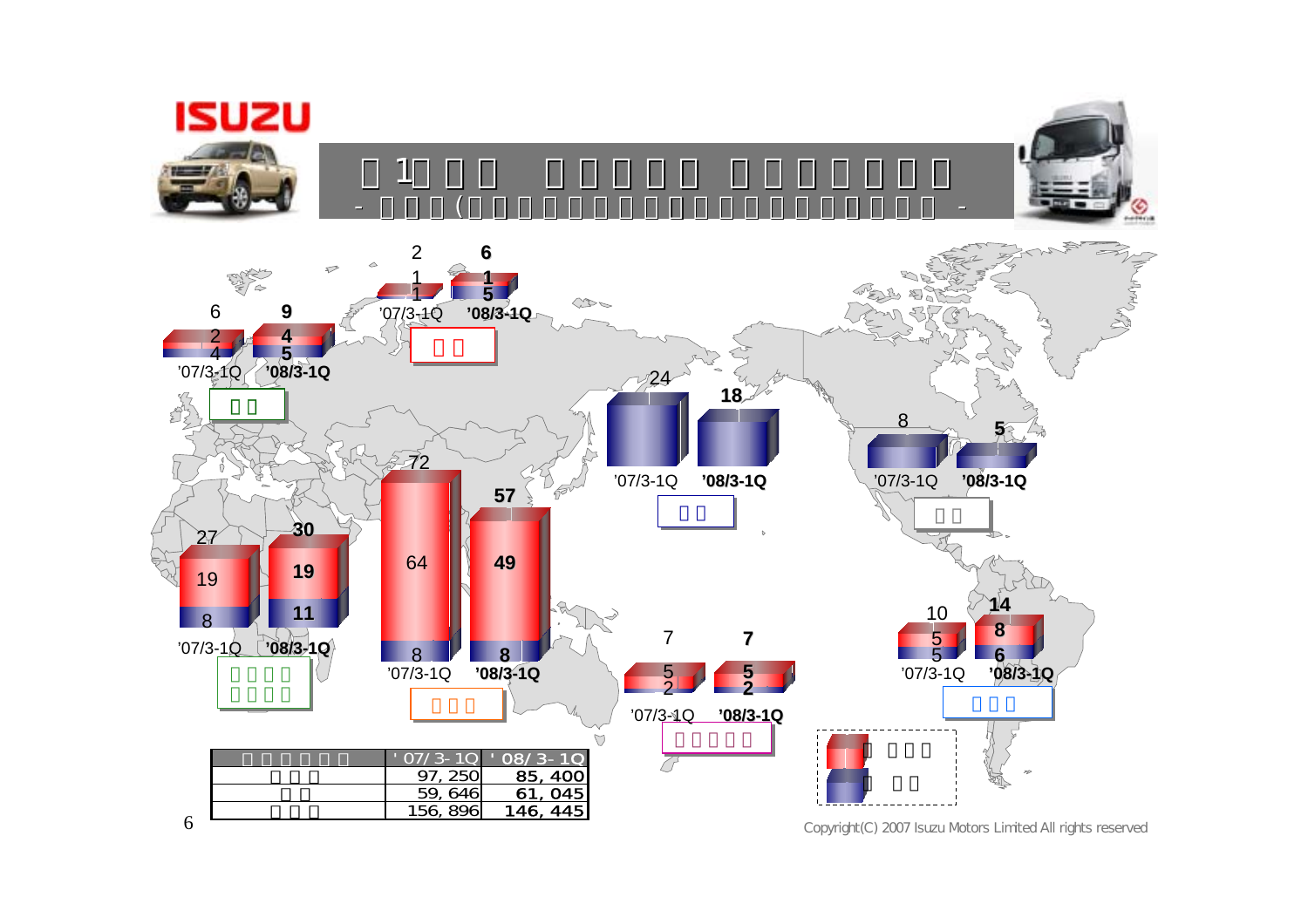**ISUZU** 







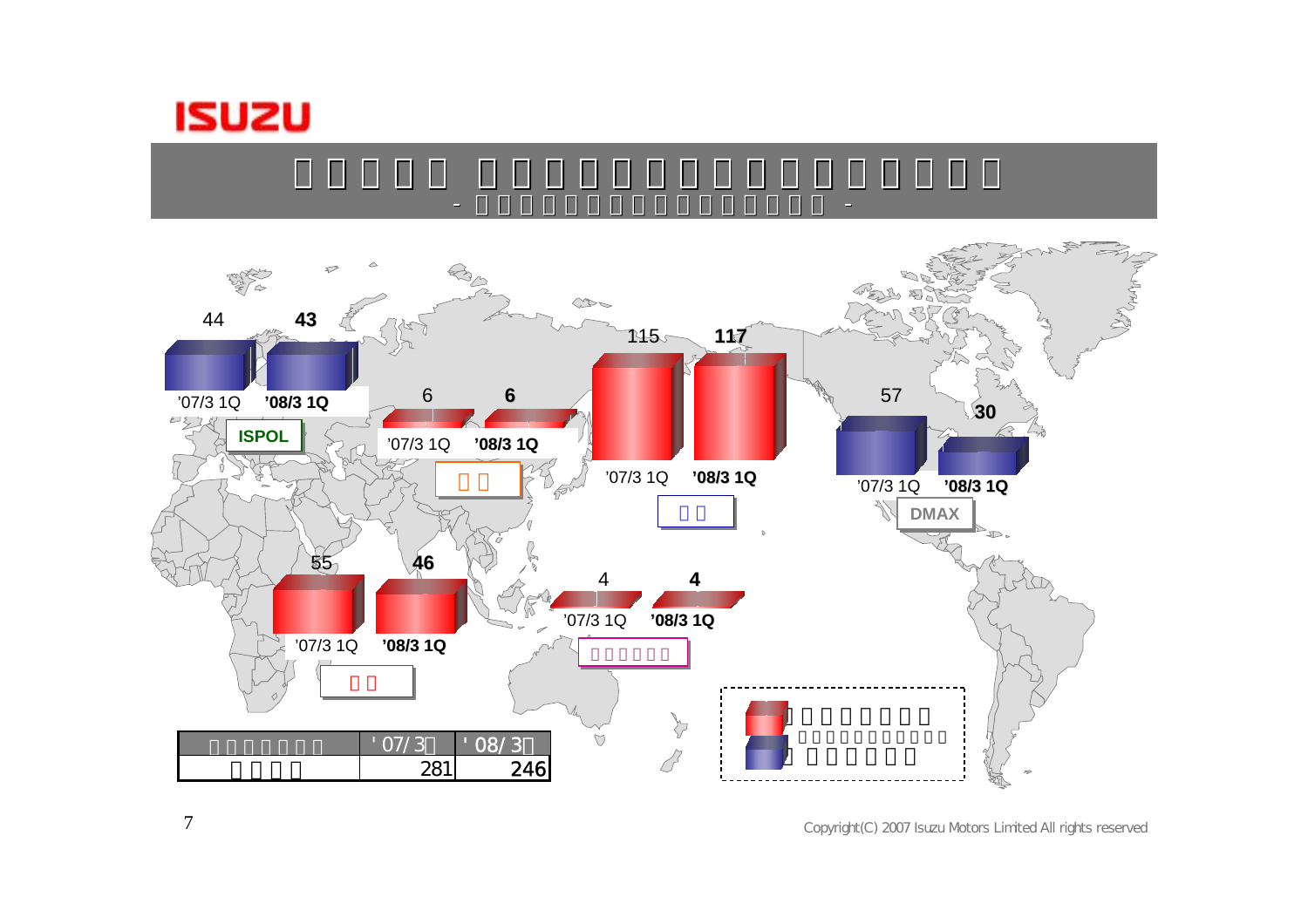



e a construction and the construction of the construction of the construction of the construction of the const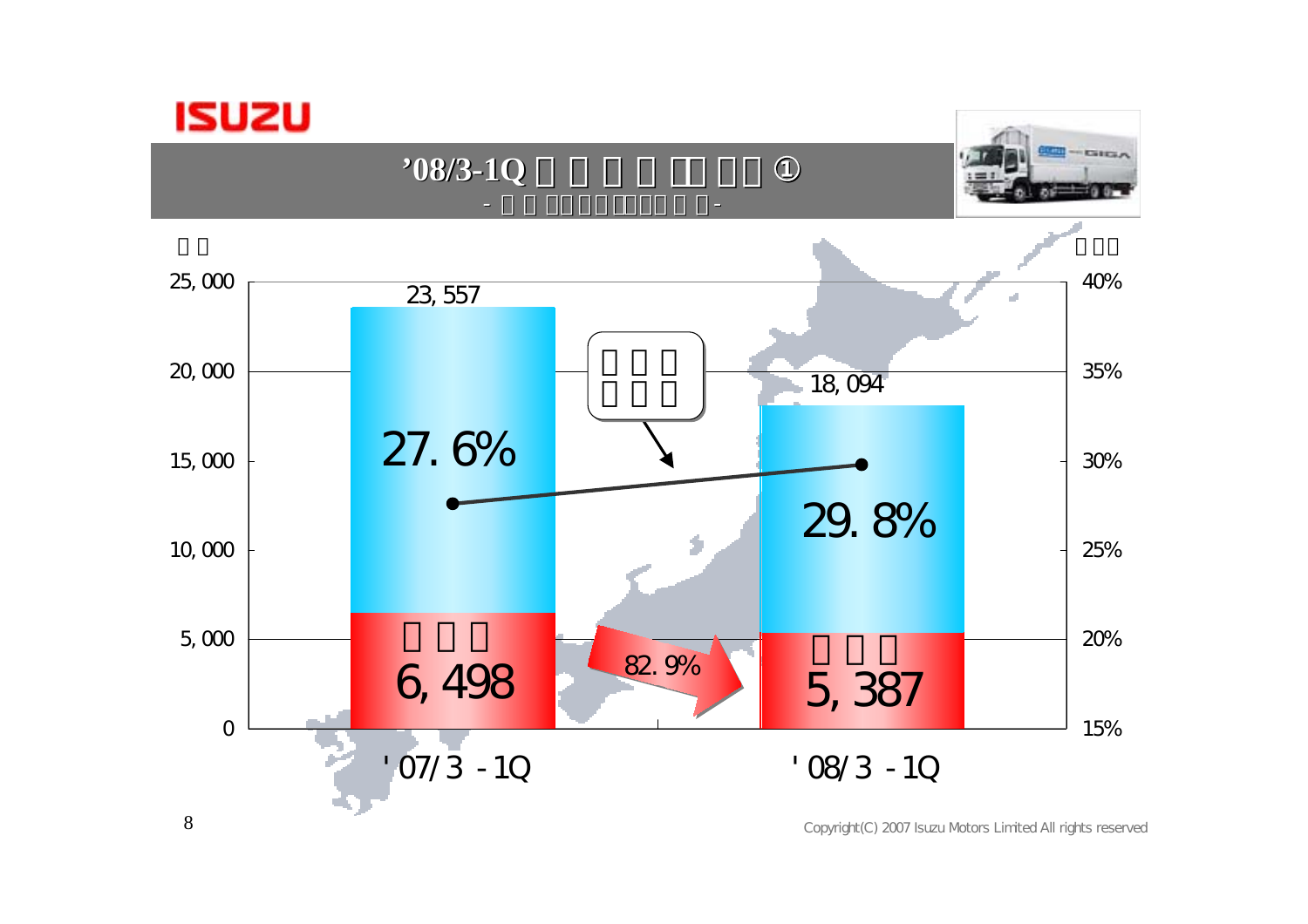

**'08/3-1Q** 

 $-$  Gitan



the contract of the contract of the contract of the contract of the contract of the contract of the contract of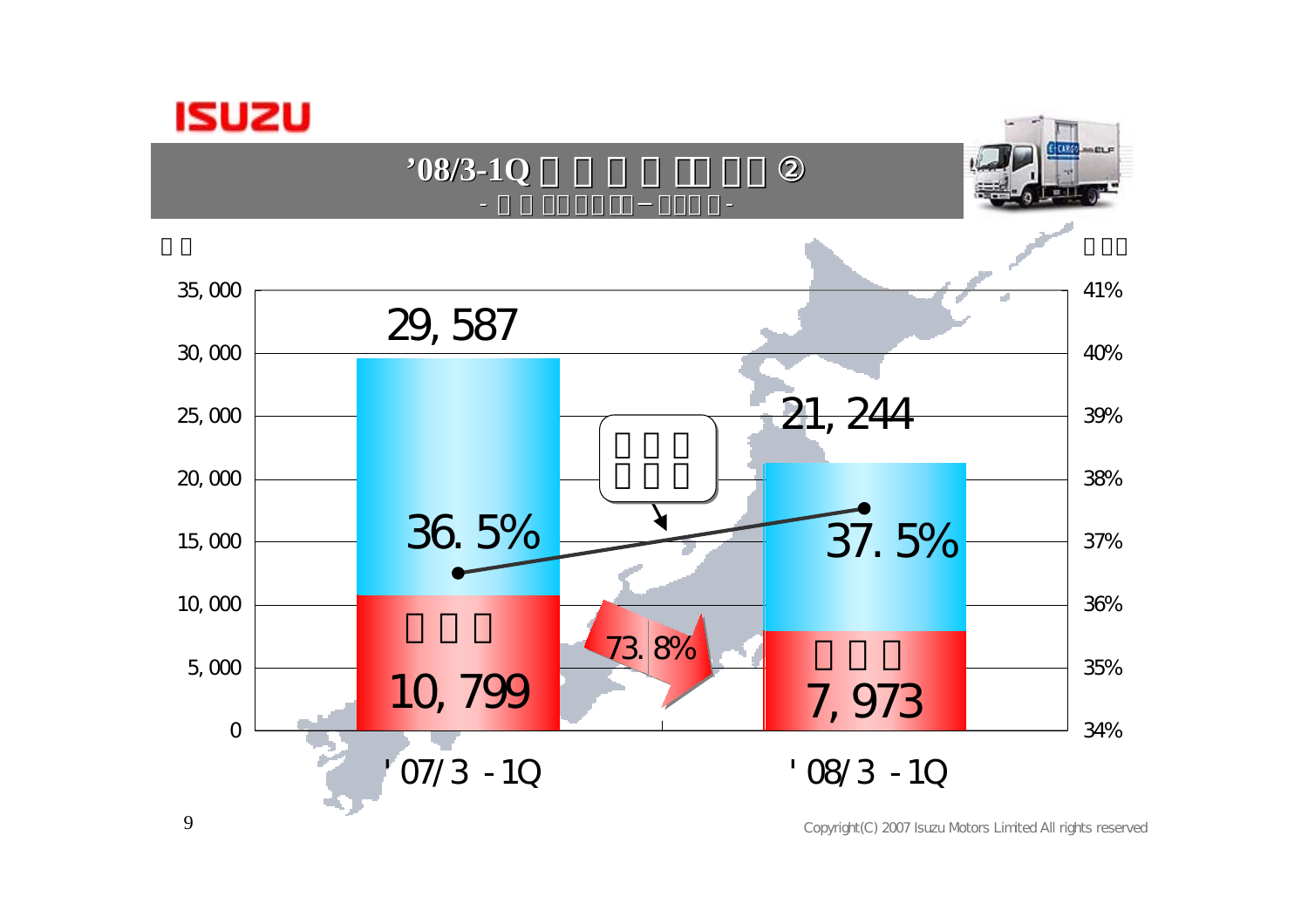

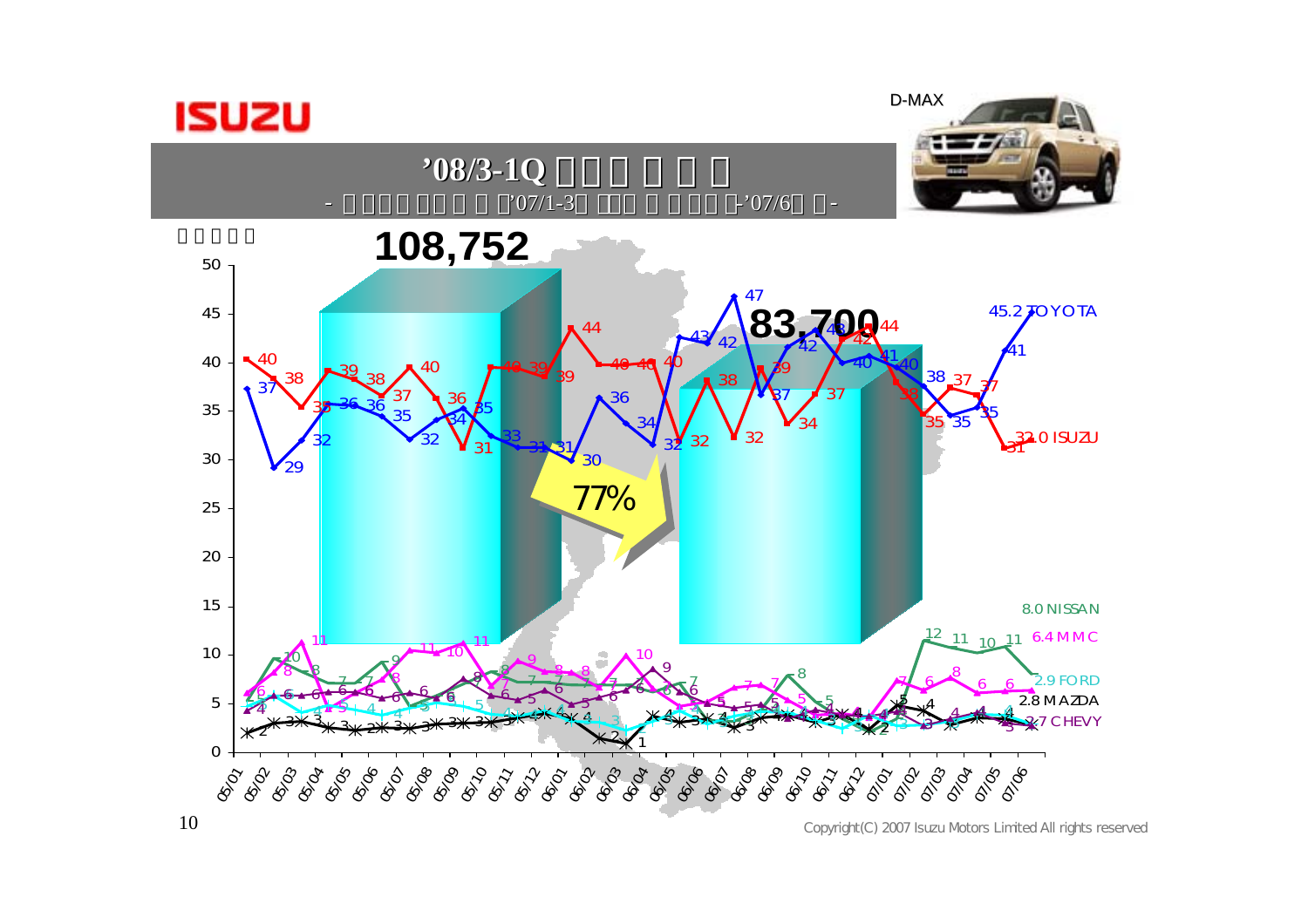

D-MAX

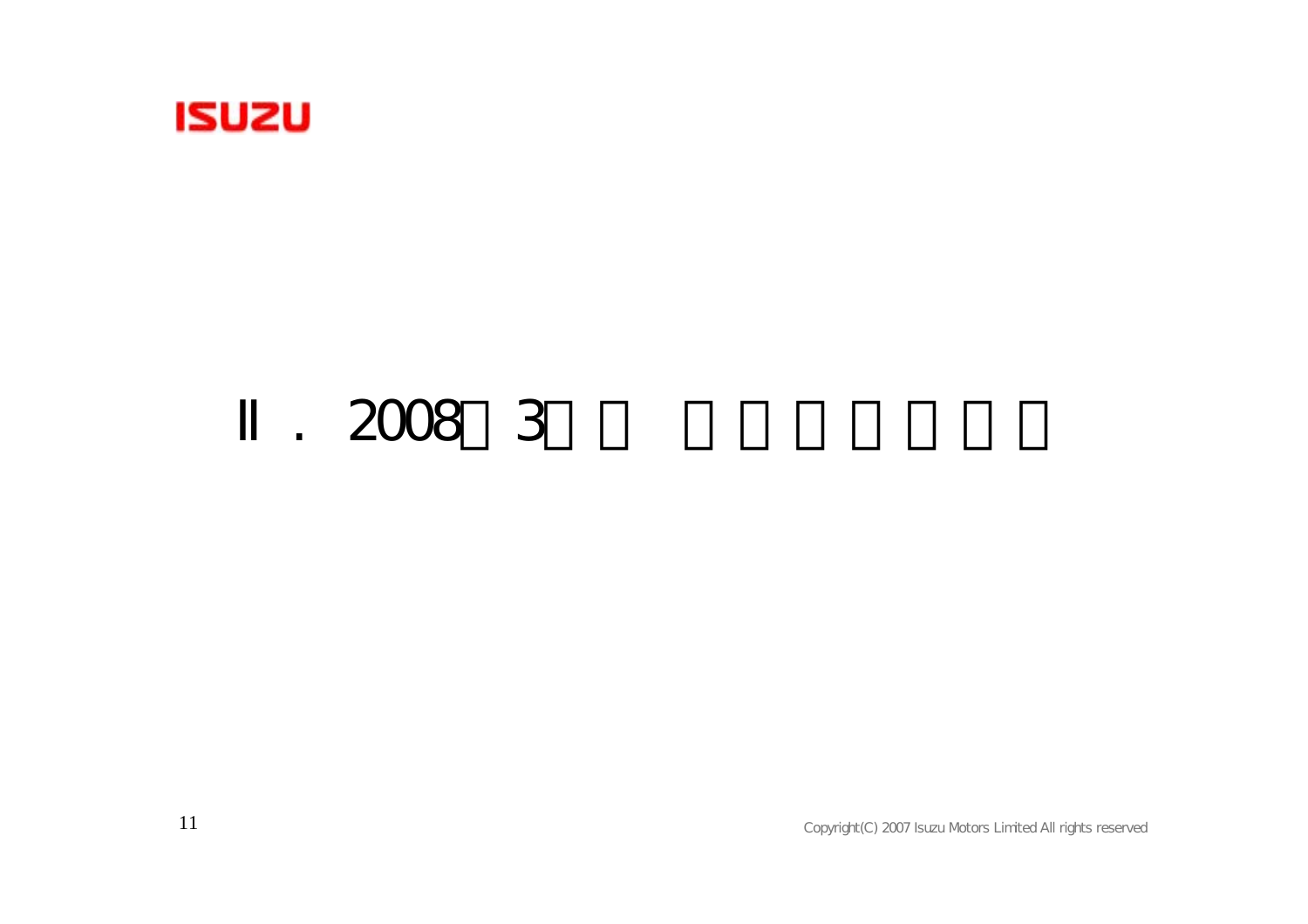

### $. 20083$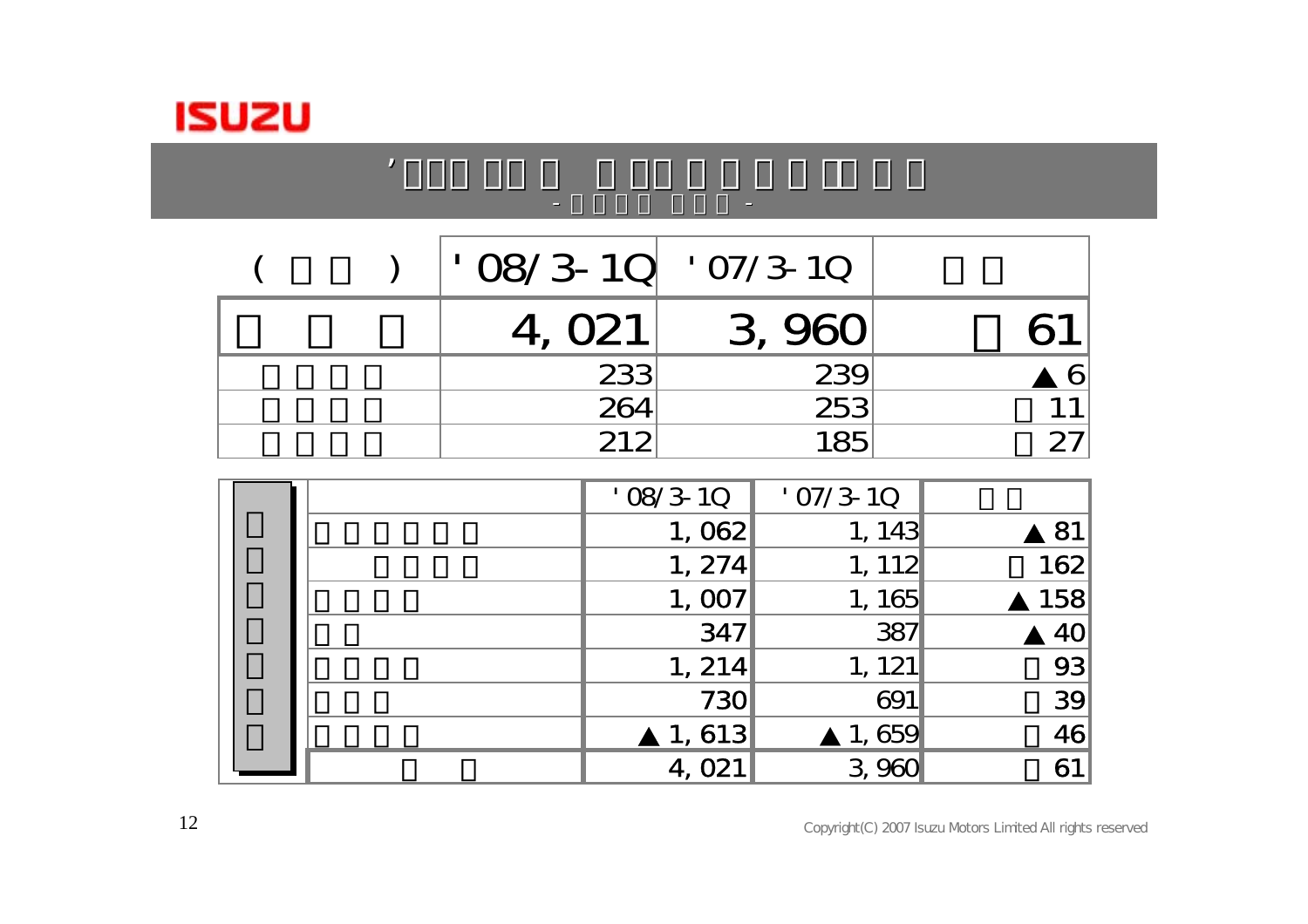

|  | $\cdot$ 08/3-10 $\cdot$ 07/3-10 |        |  |
|--|---------------------------------|--------|--|
|  | 4, O <sub>21</sub>              | 3, 960 |  |
|  | 233                             | 239    |  |
|  | 264                             | 253    |  |
|  | 212                             | 185    |  |

entration and the contract of the contract of the

 $0.87$  and  $0.87$  and  $0.87$  and  $0.87$  and  $0.87$  and  $0.87$ 

|  | $'$ 08/3-10        | $'$ 07/3-10           |                 |
|--|--------------------|-----------------------|-----------------|
|  | 1,062              | 1, 143                | 81              |
|  | 1, 274             | 1, 112                | 162             |
|  | 1,007              | 1, 165                | 158             |
|  | 347                | 387                   | 40 <sub>l</sub> |
|  | 1, 214             | 1, 121                | 93              |
|  | 730                | 691                   | 39              |
|  | 1,613              | 1,659                 | 46              |
|  | 4, O <sub>21</sub> | 960<br>3 <sub>i</sub> | 61              |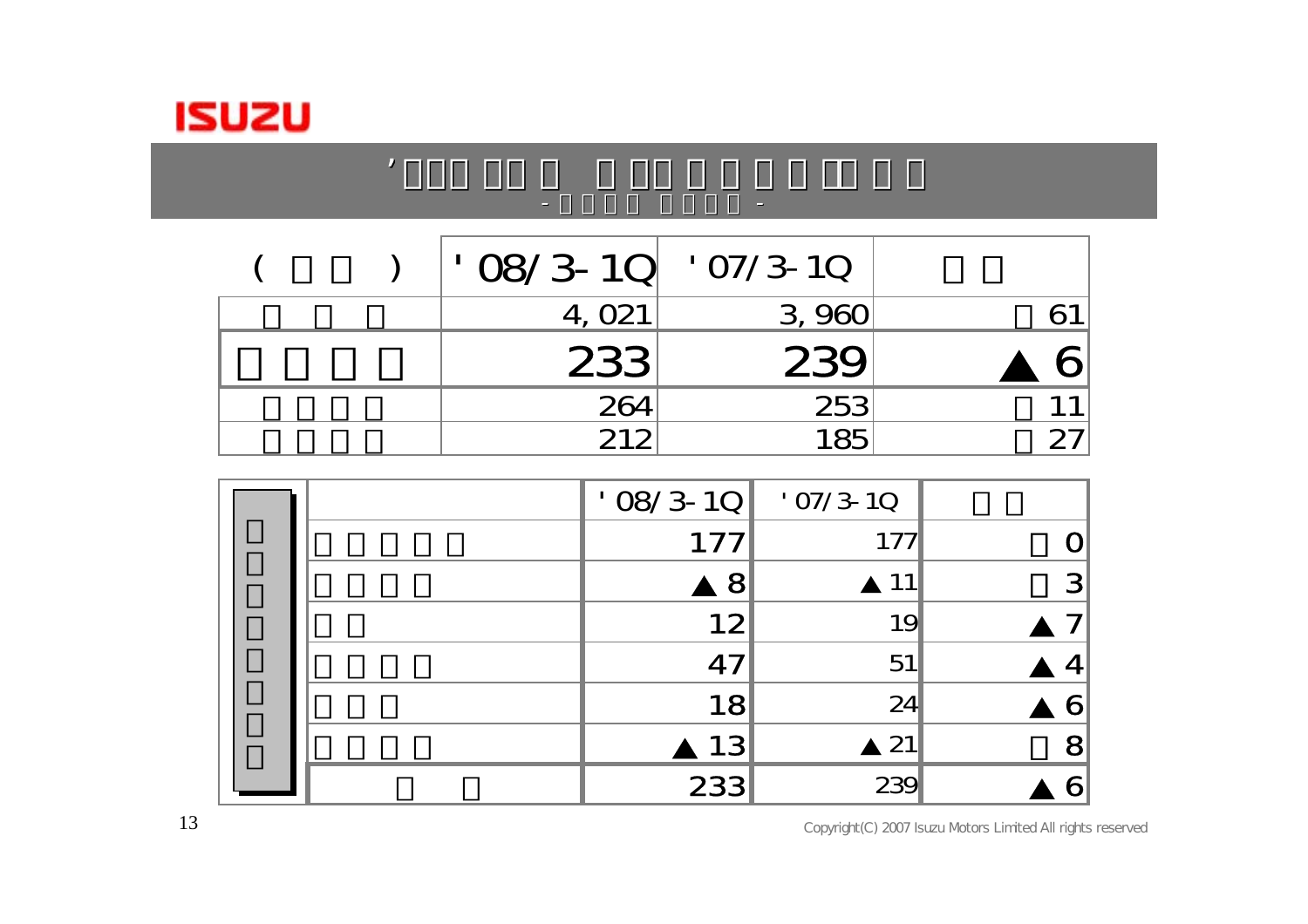

#### $\vert$   $\vert$  08/3-1Q  $\vert$  07/3-10 4, 021 3, 960 61 233 239 6 264 253 11 当期利益 212 185 +27

the contract of the contract of the contract of the

 $0.87$  and  $0.87$  and  $0.87$  and  $0.87$  and  $0.87$  and  $0.87$ 

|  | $'$ 08/3-10 | $'$ O7/3-1Q |   |
|--|-------------|-------------|---|
|  | 177         | 177         |   |
|  | 8           | 11          | 3 |
|  | 12          | 19          |   |
|  | 47          | 51          |   |
|  | 18          | 24          |   |
|  | 13          | 21          | 8 |
|  | 233         | 239         |   |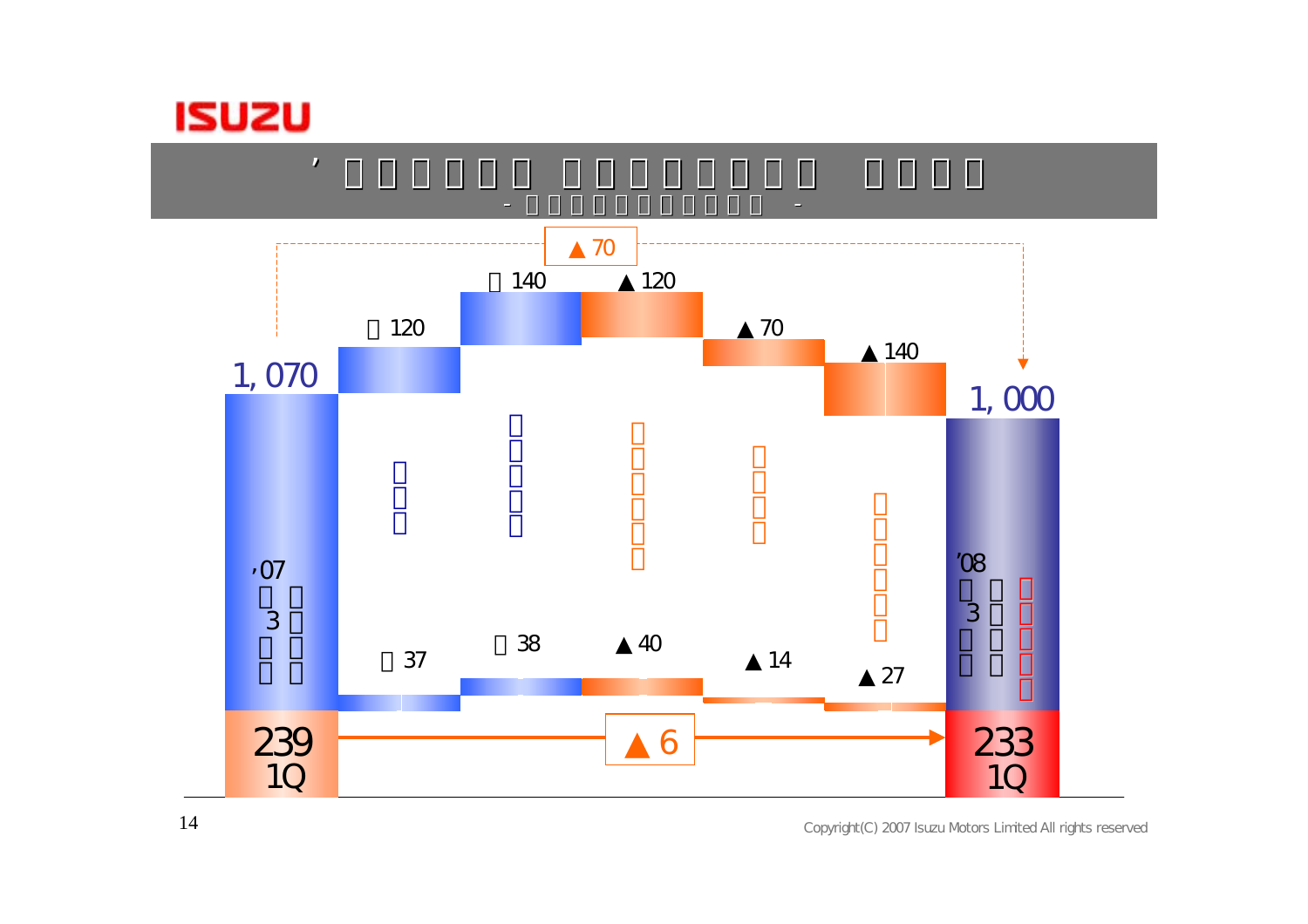

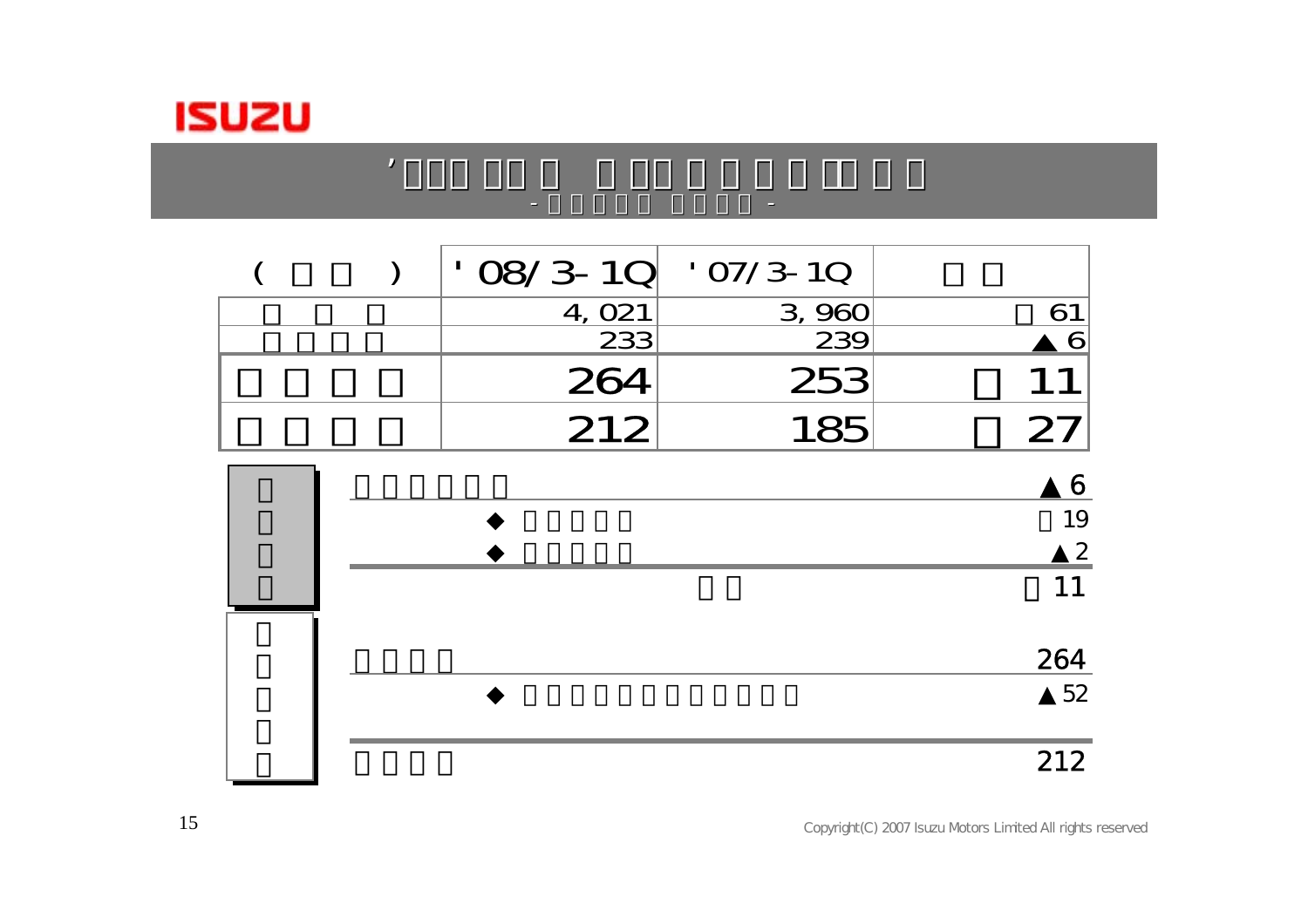

#### $($   $)$   $|$   $08/3 - 10$   $07/3 - 10$ 4, 021 3, 960 61  $\sim$  233 239 6 264253 11 212185 27

the contract of the contract of the contract of the contract of the contract of the contract of the contract of

 $0.87$  and  $0.87$  and  $0.87$  and  $0.87$  and  $0.87$  and  $0.87$ 

-

|  | 6               |
|--|-----------------|
|  | 19              |
|  | $\mathcal{P}$   |
|  | $\mathbf 1$     |
|  | 264             |
|  | $\overline{52}$ |
|  | 212             |